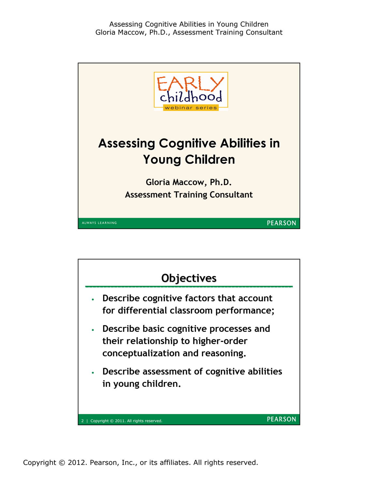

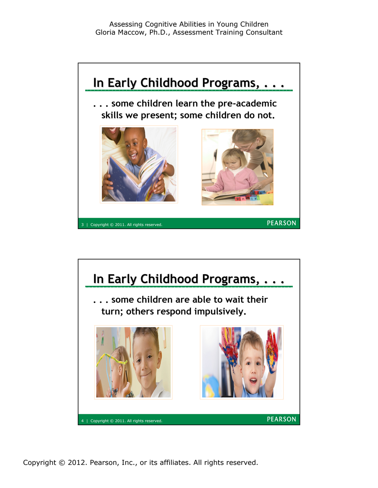

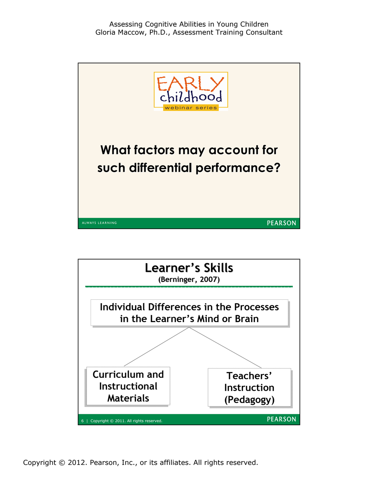

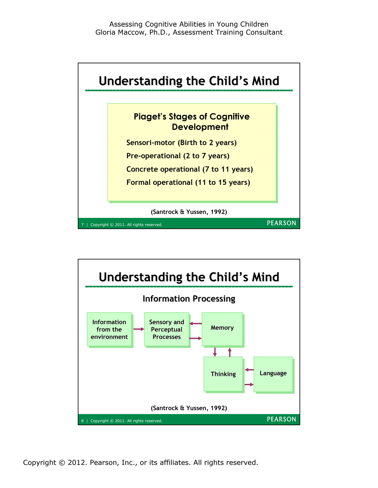

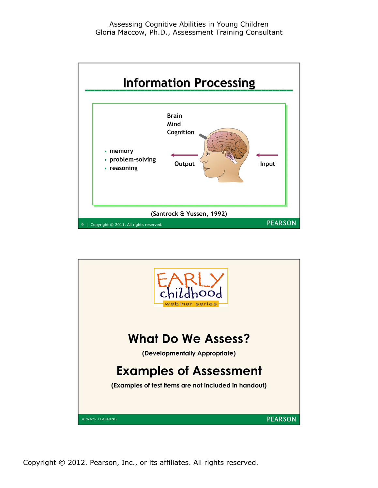

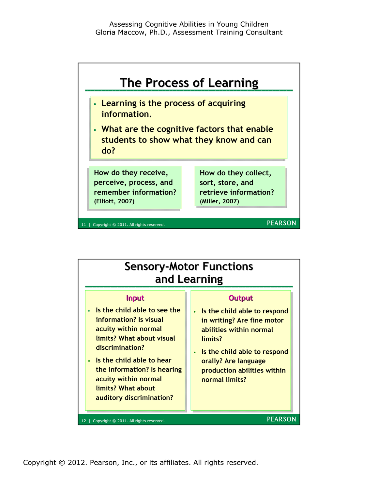

| <b>Sensory-Motor Functions</b><br>and Learning                                                                                                                                                                                                                                       |                                                                                                                                                                                                                                                      |  |  |  |  |
|--------------------------------------------------------------------------------------------------------------------------------------------------------------------------------------------------------------------------------------------------------------------------------------|------------------------------------------------------------------------------------------------------------------------------------------------------------------------------------------------------------------------------------------------------|--|--|--|--|
| <b>Input</b><br>Is the child able to see the<br>information? Is visual<br>acuity within normal<br>limits? What about visual<br>discrimination?<br>Is the child able to hear<br>the information? Is hearing<br>acuity within normal<br>limits? What about<br>auditory discrimination? | <b>Output</b><br>Is the child able to respond<br>$\bullet$<br>in writing? Are fine motor<br>abilities within normal<br>limits?<br>Is the child able to respond<br>$\bullet$<br>orally? Are language<br>production abilities within<br>normal limits? |  |  |  |  |
| <b>PEARSON</b><br>Copyright © 2011. All rights reserved.                                                                                                                                                                                                                             |                                                                                                                                                                                                                                                      |  |  |  |  |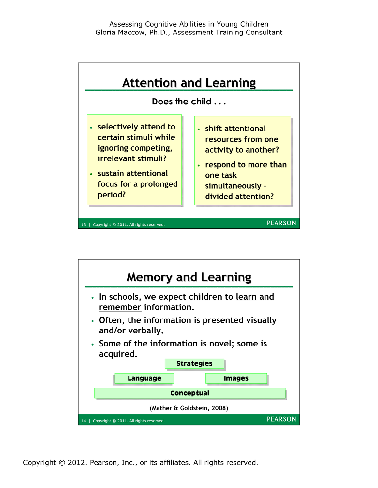

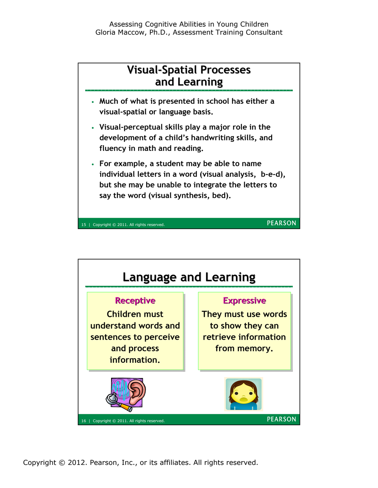

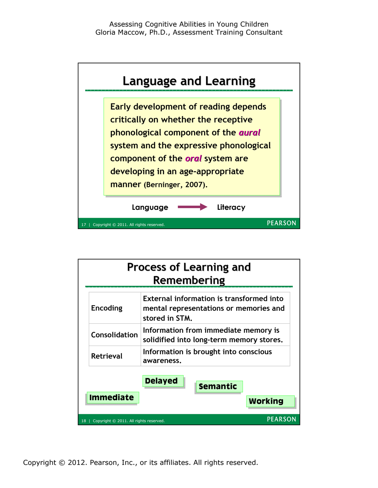

| <b>Process of Learning and</b><br>Remembering |                  |                                                                                                                                                                                          |                 |                |  |
|-----------------------------------------------|------------------|------------------------------------------------------------------------------------------------------------------------------------------------------------------------------------------|-----------------|----------------|--|
|                                               | <b>Encoding</b>  | External information is transformed into<br>mental representations or memories and<br>stored in STM.<br>Information from immediate memory is<br>solidified into long-term memory stores. |                 |                |  |
|                                               | Consolidation    |                                                                                                                                                                                          |                 |                |  |
|                                               | <b>Retrieval</b> | Information is brought into conscious<br>awareness.                                                                                                                                      |                 |                |  |
|                                               | <b>Immediate</b> | <b>Delayed</b>                                                                                                                                                                           | <b>Semantic</b> | <b>Working</b> |  |
| Copyright © 2011. All rights reserved.<br>18  |                  |                                                                                                                                                                                          | PEARSON         |                |  |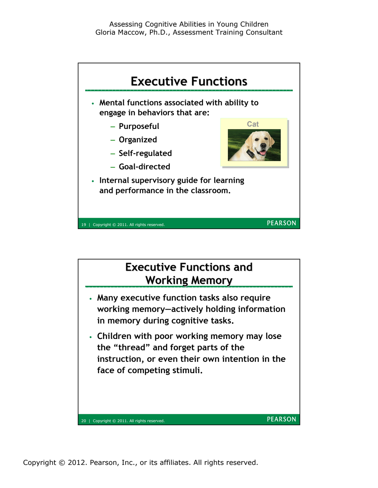

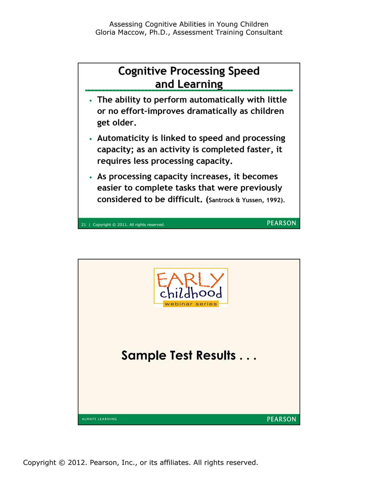

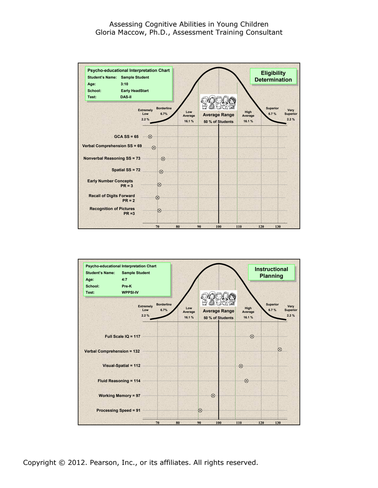## Assessing Cognitive Abilities in Young Children Gloria Maccow, Ph.D., Assessment Training Consultant



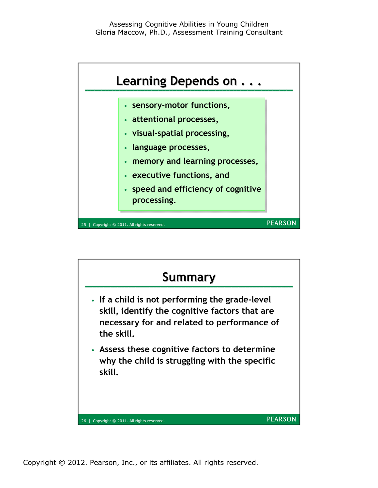

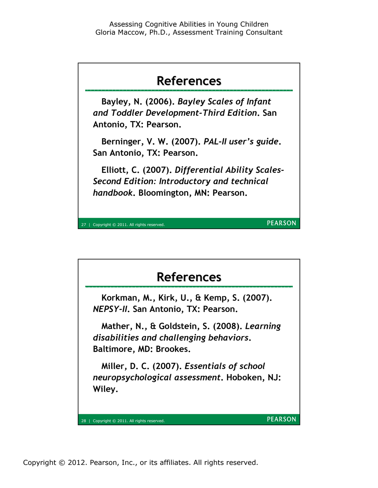